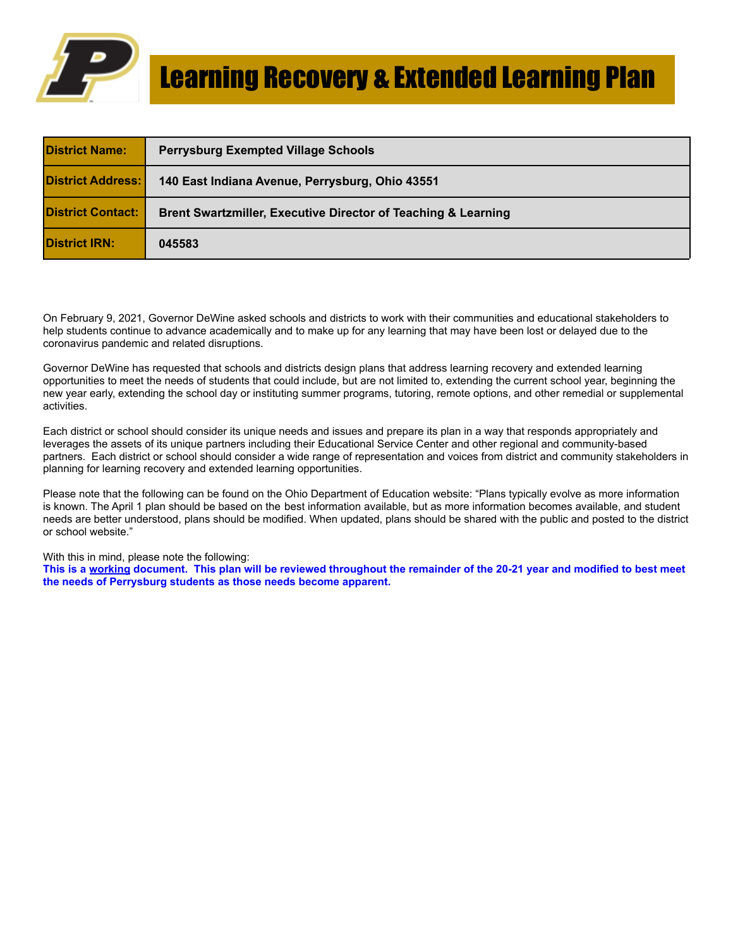

| <b>District Name:</b>    | <b>Perrysburg Exempted Village Schools</b>                    |
|--------------------------|---------------------------------------------------------------|
| <b>District Address:</b> | 140 East Indiana Avenue, Perrysburg, Ohio 43551               |
| <b>District Contact:</b> | Brent Swartzmiller, Executive Director of Teaching & Learning |
| <b>District IRN:</b>     | 045583                                                        |

On February 9, 2021, Governor DeWine asked schools and districts to work with their communities and educational stakeholders to help students continue to advance academically and to make up for any learning that may have been lost or delayed due to the coronavirus pandemic and related disruptions.

Governor DeWine has requested that schools and districts design plans that address learning recovery and extended learning opportunities to meet the needs of students that could include, but are not limited to, extending the current school year, beginning the new year early, extending the school day or instituting summer programs, tutoring, remote options, and other remedial or supplemental activities.

Each district or school should consider its unique needs and issues and prepare its plan in a way that responds appropriately and leverages the assets of its unique partners including their Educational Service Center and other regional and community-based partners. Each district or school should consider a wide range of representation and voices from district and community stakeholders in planning for learning recovery and extended learning opportunities.

Please note that the following can be found on the Ohio Department of Education website: "Plans typically evolve as more information is known. The April 1 plan should be based on the best information available, but as more information becomes available, and student needs are better understood, plans should be modified. When updated, plans should be shared with the public and posted to the district or school website."

With this in mind, please note the following:

**This is a working document. This plan will be reviewed throughout the remainder of the 20-21 year and modified to best meet the needs of Perrysburg students as those needs become apparent.**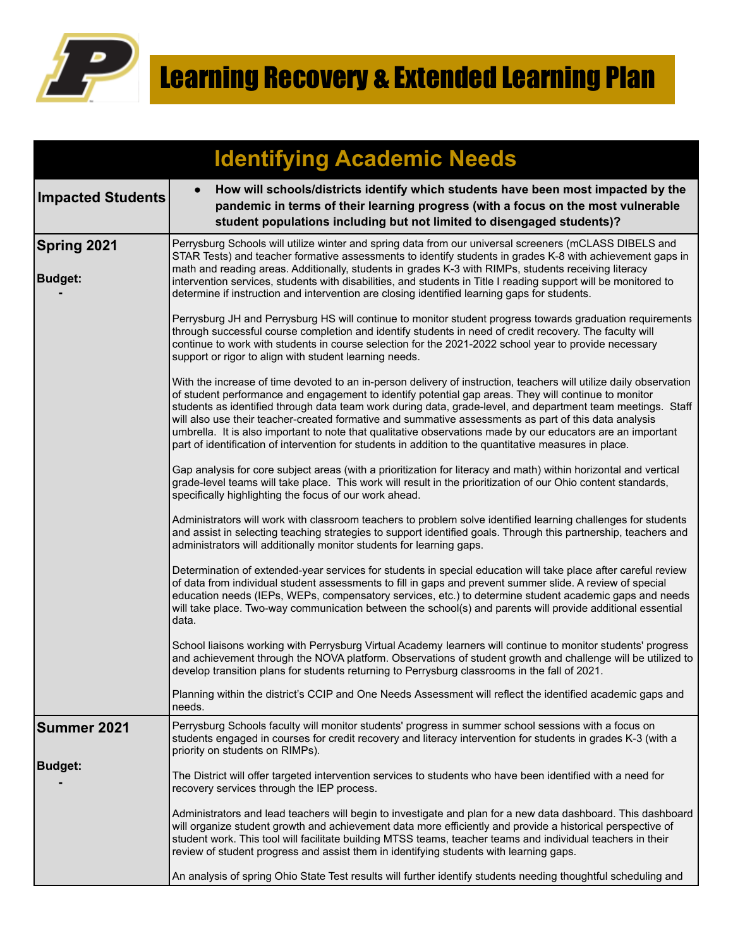

|                               | <b>Identifying Academic Needs</b>                                                                                                                                                                                                                                                                                                                                                                                                                                                                                                                                                                                                                                           |
|-------------------------------|-----------------------------------------------------------------------------------------------------------------------------------------------------------------------------------------------------------------------------------------------------------------------------------------------------------------------------------------------------------------------------------------------------------------------------------------------------------------------------------------------------------------------------------------------------------------------------------------------------------------------------------------------------------------------------|
| <b>Impacted Students</b>      | How will schools/districts identify which students have been most impacted by the<br>$\bullet$<br>pandemic in terms of their learning progress (with a focus on the most vulnerable<br>student populations including but not limited to disengaged students)?                                                                                                                                                                                                                                                                                                                                                                                                               |
| Spring 2021<br><b>Budget:</b> | Perrysburg Schools will utilize winter and spring data from our universal screeners (mCLASS DIBELS and<br>STAR Tests) and teacher formative assessments to identify students in grades K-8 with achievement gaps in<br>math and reading areas. Additionally, students in grades K-3 with RIMPs, students receiving literacy<br>intervention services, students with disabilities, and students in Title I reading support will be monitored to<br>determine if instruction and intervention are closing identified learning gaps for students.                                                                                                                              |
|                               | Perrysburg JH and Perrysburg HS will continue to monitor student progress towards graduation requirements<br>through successful course completion and identify students in need of credit recovery. The faculty will<br>continue to work with students in course selection for the 2021-2022 school year to provide necessary<br>support or rigor to align with student learning needs.                                                                                                                                                                                                                                                                                     |
|                               | With the increase of time devoted to an in-person delivery of instruction, teachers will utilize daily observation<br>of student performance and engagement to identify potential gap areas. They will continue to monitor<br>students as identified through data team work during data, grade-level, and department team meetings. Staff<br>will also use their teacher-created formative and summative assessments as part of this data analysis<br>umbrella. It is also important to note that qualitative observations made by our educators are an important<br>part of identification of intervention for students in addition to the quantitative measures in place. |
|                               | Gap analysis for core subject areas (with a prioritization for literacy and math) within horizontal and vertical<br>grade-level teams will take place. This work will result in the prioritization of our Ohio content standards,<br>specifically highlighting the focus of our work ahead.                                                                                                                                                                                                                                                                                                                                                                                 |
|                               | Administrators will work with classroom teachers to problem solve identified learning challenges for students<br>and assist in selecting teaching strategies to support identified goals. Through this partnership, teachers and<br>administrators will additionally monitor students for learning gaps.                                                                                                                                                                                                                                                                                                                                                                    |
|                               | Determination of extended-year services for students in special education will take place after careful review<br>of data from individual student assessments to fill in gaps and prevent summer slide. A review of special<br>education needs (IEPs, WEPs, compensatory services, etc.) to determine student academic gaps and needs<br>will take place. Two-way communication between the school(s) and parents will provide additional essential<br>data.                                                                                                                                                                                                                |
|                               | School liaisons working with Perrysburg Virtual Academy learners will continue to monitor students' progress<br>and achievement through the NOVA platform. Observations of student growth and challenge will be utilized to<br>develop transition plans for students returning to Perrysburg classrooms in the fall of 2021.                                                                                                                                                                                                                                                                                                                                                |
|                               | Planning within the district's CCIP and One Needs Assessment will reflect the identified academic gaps and<br>needs.                                                                                                                                                                                                                                                                                                                                                                                                                                                                                                                                                        |
| Summer 2021                   | Perrysburg Schools faculty will monitor students' progress in summer school sessions with a focus on<br>students engaged in courses for credit recovery and literacy intervention for students in grades K-3 (with a<br>priority on students on RIMPs).                                                                                                                                                                                                                                                                                                                                                                                                                     |
| <b>Budget:</b>                | The District will offer targeted intervention services to students who have been identified with a need for<br>recovery services through the IEP process.                                                                                                                                                                                                                                                                                                                                                                                                                                                                                                                   |
|                               | Administrators and lead teachers will begin to investigate and plan for a new data dashboard. This dashboard<br>will organize student growth and achievement data more efficiently and provide a historical perspective of<br>student work. This tool will facilitate building MTSS teams, teacher teams and individual teachers in their<br>review of student progress and assist them in identifying students with learning gaps.                                                                                                                                                                                                                                         |
|                               | An analysis of spring Ohio State Test results will further identify students needing thoughtful scheduling and                                                                                                                                                                                                                                                                                                                                                                                                                                                                                                                                                              |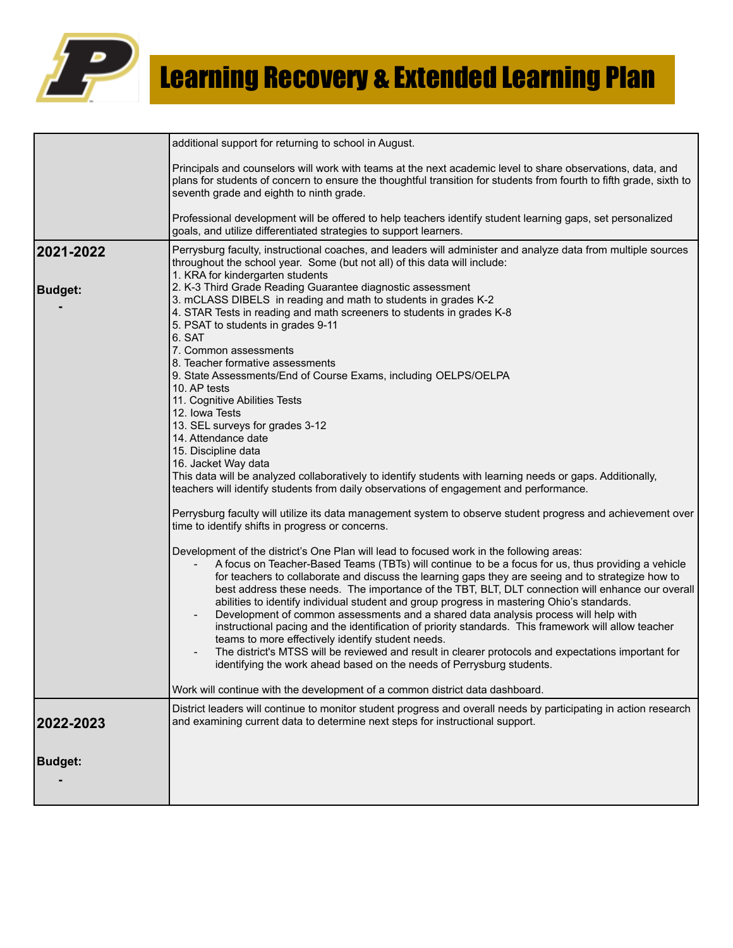

|                | additional support for returning to school in August.                                                                                                                                                                                                                                                                                                                                                                                                                                                                                                                                                                                                                                                                                                                                                                                                                                                                                                                                                                       |
|----------------|-----------------------------------------------------------------------------------------------------------------------------------------------------------------------------------------------------------------------------------------------------------------------------------------------------------------------------------------------------------------------------------------------------------------------------------------------------------------------------------------------------------------------------------------------------------------------------------------------------------------------------------------------------------------------------------------------------------------------------------------------------------------------------------------------------------------------------------------------------------------------------------------------------------------------------------------------------------------------------------------------------------------------------|
|                | Principals and counselors will work with teams at the next academic level to share observations, data, and<br>plans for students of concern to ensure the thoughtful transition for students from fourth to fifth grade, sixth to<br>seventh grade and eighth to ninth grade.                                                                                                                                                                                                                                                                                                                                                                                                                                                                                                                                                                                                                                                                                                                                               |
|                | Professional development will be offered to help teachers identify student learning gaps, set personalized<br>goals, and utilize differentiated strategies to support learners.                                                                                                                                                                                                                                                                                                                                                                                                                                                                                                                                                                                                                                                                                                                                                                                                                                             |
| 2021-2022      | Perrysburg faculty, instructional coaches, and leaders will administer and analyze data from multiple sources<br>throughout the school year. Some (but not all) of this data will include:<br>1. KRA for kindergarten students                                                                                                                                                                                                                                                                                                                                                                                                                                                                                                                                                                                                                                                                                                                                                                                              |
| <b>Budget:</b> | 2. K-3 Third Grade Reading Guarantee diagnostic assessment<br>3. mCLASS DIBELS in reading and math to students in grades K-2<br>4. STAR Tests in reading and math screeners to students in grades K-8<br>5. PSAT to students in grades 9-11<br>6. SAT<br>7. Common assessments<br>8. Teacher formative assessments<br>9. State Assessments/End of Course Exams, including OELPS/OELPA<br>10. AP tests<br>11. Cognitive Abilities Tests<br>12. Iowa Tests<br>13. SEL surveys for grades 3-12<br>14. Attendance date<br>15. Discipline data<br>16. Jacket Way data<br>This data will be analyzed collaboratively to identify students with learning needs or gaps. Additionally,<br>teachers will identify students from daily observations of engagement and performance.<br>Perrysburg faculty will utilize its data management system to observe student progress and achievement over<br>time to identify shifts in progress or concerns.                                                                                 |
|                | Development of the district's One Plan will lead to focused work in the following areas:<br>A focus on Teacher-Based Teams (TBTs) will continue to be a focus for us, thus providing a vehicle<br>for teachers to collaborate and discuss the learning gaps they are seeing and to strategize how to<br>best address these needs. The importance of the TBT, BLT, DLT connection will enhance our overall<br>abilities to identify individual student and group progress in mastering Ohio's standards.<br>Development of common assessments and a shared data analysis process will help with<br>instructional pacing and the identification of priority standards. This framework will allow teacher<br>teams to more effectively identify student needs.<br>The district's MTSS will be reviewed and result in clearer protocols and expectations important for<br>identifying the work ahead based on the needs of Perrysburg students.<br>Work will continue with the development of a common district data dashboard. |
|                | District leaders will continue to monitor student progress and overall needs by participating in action research                                                                                                                                                                                                                                                                                                                                                                                                                                                                                                                                                                                                                                                                                                                                                                                                                                                                                                            |
| 2022-2023      | and examining current data to determine next steps for instructional support.                                                                                                                                                                                                                                                                                                                                                                                                                                                                                                                                                                                                                                                                                                                                                                                                                                                                                                                                               |
| <b>Budget:</b> |                                                                                                                                                                                                                                                                                                                                                                                                                                                                                                                                                                                                                                                                                                                                                                                                                                                                                                                                                                                                                             |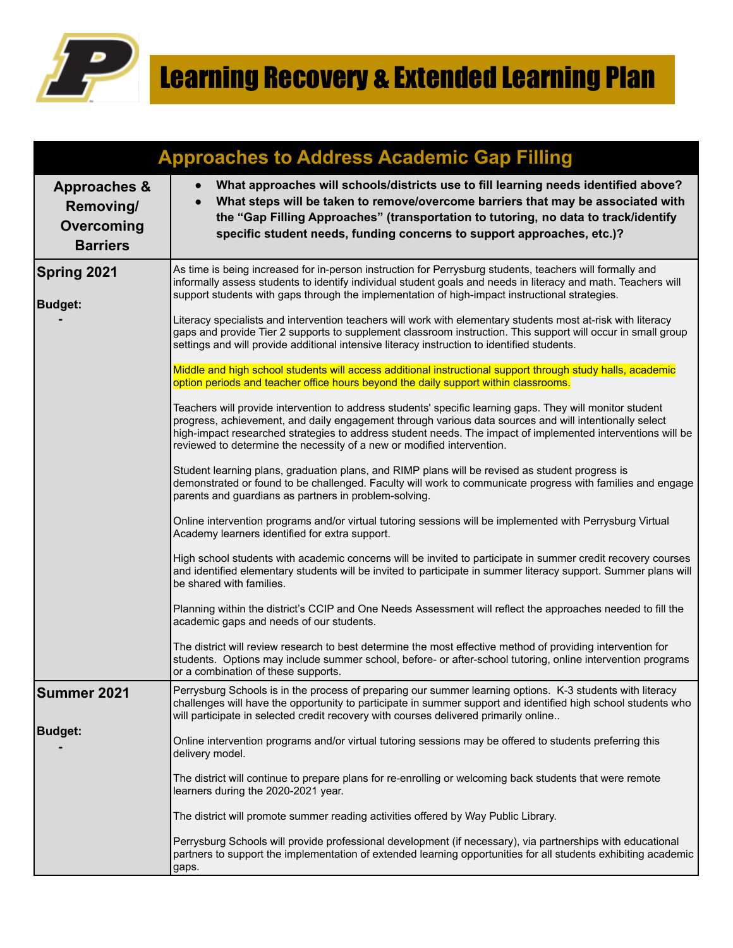

|                                                                       | <b>Approaches to Address Academic Gap Filling</b>                                                                                                                                                                                                                                                                                                                                                            |
|-----------------------------------------------------------------------|--------------------------------------------------------------------------------------------------------------------------------------------------------------------------------------------------------------------------------------------------------------------------------------------------------------------------------------------------------------------------------------------------------------|
| <b>Approaches &amp;</b><br>Removing/<br>Overcoming<br><b>Barriers</b> | What approaches will schools/districts use to fill learning needs identified above?<br>$\bullet$<br>What steps will be taken to remove/overcome barriers that may be associated with<br>$\bullet$<br>the "Gap Filling Approaches" (transportation to tutoring, no data to track/identify<br>specific student needs, funding concerns to support approaches, etc.)?                                           |
| <b>Spring 2021</b><br><b>Budget:</b>                                  | As time is being increased for in-person instruction for Perrysburg students, teachers will formally and<br>informally assess students to identify individual student goals and needs in literacy and math. Teachers will<br>support students with gaps through the implementation of high-impact instructional strategies.                                                                                  |
|                                                                       | Literacy specialists and intervention teachers will work with elementary students most at-risk with literacy<br>gaps and provide Tier 2 supports to supplement classroom instruction. This support will occur in small group<br>settings and will provide additional intensive literacy instruction to identified students.                                                                                  |
|                                                                       | Middle and high school students will access additional instructional support through study halls, academic<br>option periods and teacher office hours beyond the daily support within classrooms.                                                                                                                                                                                                            |
|                                                                       | Teachers will provide intervention to address students' specific learning gaps. They will monitor student<br>progress, achievement, and daily engagement through various data sources and will intentionally select<br>high-impact researched strategies to address student needs. The impact of implemented interventions will be<br>reviewed to determine the necessity of a new or modified intervention. |
|                                                                       | Student learning plans, graduation plans, and RIMP plans will be revised as student progress is<br>demonstrated or found to be challenged. Faculty will work to communicate progress with families and engage<br>parents and guardians as partners in problem-solving.                                                                                                                                       |
|                                                                       | Online intervention programs and/or virtual tutoring sessions will be implemented with Perrysburg Virtual<br>Academy learners identified for extra support.                                                                                                                                                                                                                                                  |
|                                                                       | High school students with academic concerns will be invited to participate in summer credit recovery courses<br>and identified elementary students will be invited to participate in summer literacy support. Summer plans will<br>be shared with families.                                                                                                                                                  |
|                                                                       | Planning within the district's CCIP and One Needs Assessment will reflect the approaches needed to fill the<br>academic gaps and needs of our students.                                                                                                                                                                                                                                                      |
|                                                                       | The district will review research to best determine the most effective method of providing intervention for<br>students. Options may include summer school, before- or after-school tutoring, online intervention programs<br>or a combination of these supports.                                                                                                                                            |
| <b>Summer 2021</b>                                                    | Perrysburg Schools is in the process of preparing our summer learning options. K-3 students with literacy<br>challenges will have the opportunity to participate in summer support and identified high school students who<br>will participate in selected credit recovery with courses delivered primarily online                                                                                           |
| <b>Budget:</b>                                                        | Online intervention programs and/or virtual tutoring sessions may be offered to students preferring this<br>delivery model.                                                                                                                                                                                                                                                                                  |
|                                                                       | The district will continue to prepare plans for re-enrolling or welcoming back students that were remote<br>learners during the 2020-2021 year.                                                                                                                                                                                                                                                              |
|                                                                       | The district will promote summer reading activities offered by Way Public Library.                                                                                                                                                                                                                                                                                                                           |
|                                                                       | Perrysburg Schools will provide professional development (if necessary), via partnerships with educational<br>partners to support the implementation of extended learning opportunities for all students exhibiting academic<br>gaps.                                                                                                                                                                        |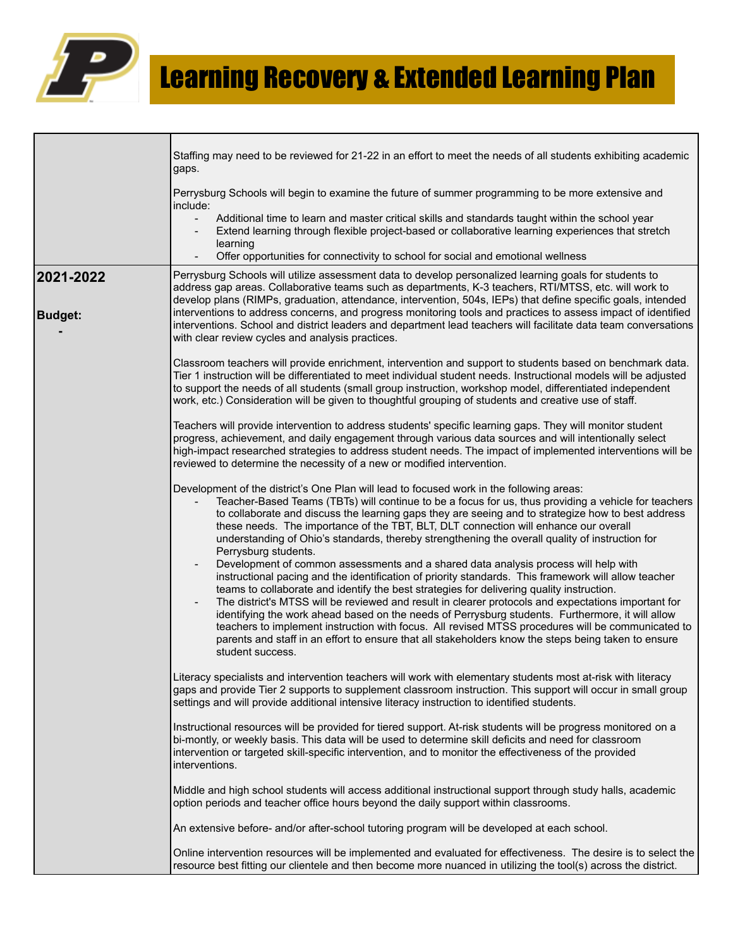

|                             | Staffing may need to be reviewed for 21-22 in an effort to meet the needs of all students exhibiting academic                                                                                                                                                                                                                                                                                                                                                                                                                                                                                                                                                                                                                       |
|-----------------------------|-------------------------------------------------------------------------------------------------------------------------------------------------------------------------------------------------------------------------------------------------------------------------------------------------------------------------------------------------------------------------------------------------------------------------------------------------------------------------------------------------------------------------------------------------------------------------------------------------------------------------------------------------------------------------------------------------------------------------------------|
|                             | gaps.                                                                                                                                                                                                                                                                                                                                                                                                                                                                                                                                                                                                                                                                                                                               |
|                             | Perrysburg Schools will begin to examine the future of summer programming to be more extensive and<br>include:                                                                                                                                                                                                                                                                                                                                                                                                                                                                                                                                                                                                                      |
|                             | Additional time to learn and master critical skills and standards taught within the school year<br>$\overline{\phantom{a}}$<br>Extend learning through flexible project-based or collaborative learning experiences that stretch<br>learning                                                                                                                                                                                                                                                                                                                                                                                                                                                                                        |
|                             | Offer opportunities for connectivity to school for social and emotional wellness                                                                                                                                                                                                                                                                                                                                                                                                                                                                                                                                                                                                                                                    |
| 2021-2022<br><b>Budget:</b> | Perrysburg Schools will utilize assessment data to develop personalized learning goals for students to<br>address gap areas. Collaborative teams such as departments, K-3 teachers, RTI/MTSS, etc. will work to<br>develop plans (RIMPs, graduation, attendance, intervention, 504s, IEPs) that define specific goals, intended<br>interventions to address concerns, and progress monitoring tools and practices to assess impact of identified                                                                                                                                                                                                                                                                                    |
|                             | interventions. School and district leaders and department lead teachers will facilitate data team conversations<br>with clear review cycles and analysis practices.                                                                                                                                                                                                                                                                                                                                                                                                                                                                                                                                                                 |
|                             | Classroom teachers will provide enrichment, intervention and support to students based on benchmark data.<br>Tier 1 instruction will be differentiated to meet individual student needs. Instructional models will be adjusted<br>to support the needs of all students (small group instruction, workshop model, differentiated independent<br>work, etc.) Consideration will be given to thoughtful grouping of students and creative use of staff.                                                                                                                                                                                                                                                                                |
|                             | Teachers will provide intervention to address students' specific learning gaps. They will monitor student<br>progress, achievement, and daily engagement through various data sources and will intentionally select<br>high-impact researched strategies to address student needs. The impact of implemented interventions will be<br>reviewed to determine the necessity of a new or modified intervention.                                                                                                                                                                                                                                                                                                                        |
|                             | Development of the district's One Plan will lead to focused work in the following areas:<br>Teacher-Based Teams (TBTs) will continue to be a focus for us, thus providing a vehicle for teachers<br>to collaborate and discuss the learning gaps they are seeing and to strategize how to best address<br>these needs. The importance of the TBT, BLT, DLT connection will enhance our overall<br>understanding of Ohio's standards, thereby strengthening the overall quality of instruction for<br>Perrysburg students.                                                                                                                                                                                                           |
|                             | Development of common assessments and a shared data analysis process will help with<br>instructional pacing and the identification of priority standards. This framework will allow teacher<br>teams to collaborate and identify the best strategies for delivering quality instruction.<br>The district's MTSS will be reviewed and result in clearer protocols and expectations important for<br>identifying the work ahead based on the needs of Perrysburg students. Furthermore, it will allow<br>teachers to implement instruction with focus. All revised MTSS procedures will be communicated to<br>parents and staff in an effort to ensure that all stakeholders know the steps being taken to ensure<br>student success. |
|                             | Literacy specialists and intervention teachers will work with elementary students most at-risk with literacy<br>gaps and provide Tier 2 supports to supplement classroom instruction. This support will occur in small group<br>settings and will provide additional intensive literacy instruction to identified students.                                                                                                                                                                                                                                                                                                                                                                                                         |
|                             | Instructional resources will be provided for tiered support. At-risk students will be progress monitored on a<br>bi-montly, or weekly basis. This data will be used to determine skill deficits and need for classroom<br>intervention or targeted skill-specific intervention, and to monitor the effectiveness of the provided<br>interventions.                                                                                                                                                                                                                                                                                                                                                                                  |
|                             | Middle and high school students will access additional instructional support through study halls, academic<br>option periods and teacher office hours beyond the daily support within classrooms.                                                                                                                                                                                                                                                                                                                                                                                                                                                                                                                                   |
|                             | An extensive before- and/or after-school tutoring program will be developed at each school.                                                                                                                                                                                                                                                                                                                                                                                                                                                                                                                                                                                                                                         |
|                             | Online intervention resources will be implemented and evaluated for effectiveness. The desire is to select the<br>resource best fitting our clientele and then become more nuanced in utilizing the tool(s) across the district.                                                                                                                                                                                                                                                                                                                                                                                                                                                                                                    |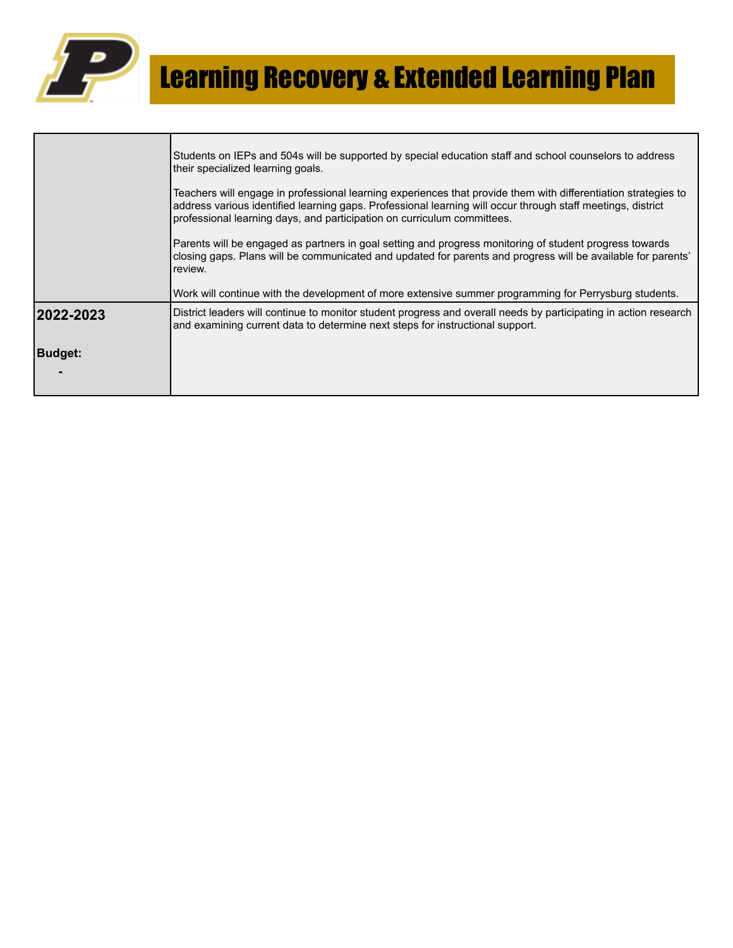

|            | Students on IEPs and 504s will be supported by special education staff and school counselors to address<br>their specialized learning goals.                                                                                                                                                             |
|------------|----------------------------------------------------------------------------------------------------------------------------------------------------------------------------------------------------------------------------------------------------------------------------------------------------------|
|            | Teachers will engage in professional learning experiences that provide them with differentiation strategies to<br>address various identified learning gaps. Professional learning will occur through staff meetings, district<br>professional learning days, and participation on curriculum committees. |
|            | Parents will be engaged as partners in goal setting and progress monitoring of student progress towards<br>closing gaps. Plans will be communicated and updated for parents and progress will be available for parents'<br>review.                                                                       |
|            | Work will continue with the development of more extensive summer programming for Perrysburg students.                                                                                                                                                                                                    |
| 12022-2023 | District leaders will continue to monitor student progress and overall needs by participating in action research<br>and examining current data to determine next steps for instructional support.                                                                                                        |
| Budqet:    |                                                                                                                                                                                                                                                                                                          |
|            |                                                                                                                                                                                                                                                                                                          |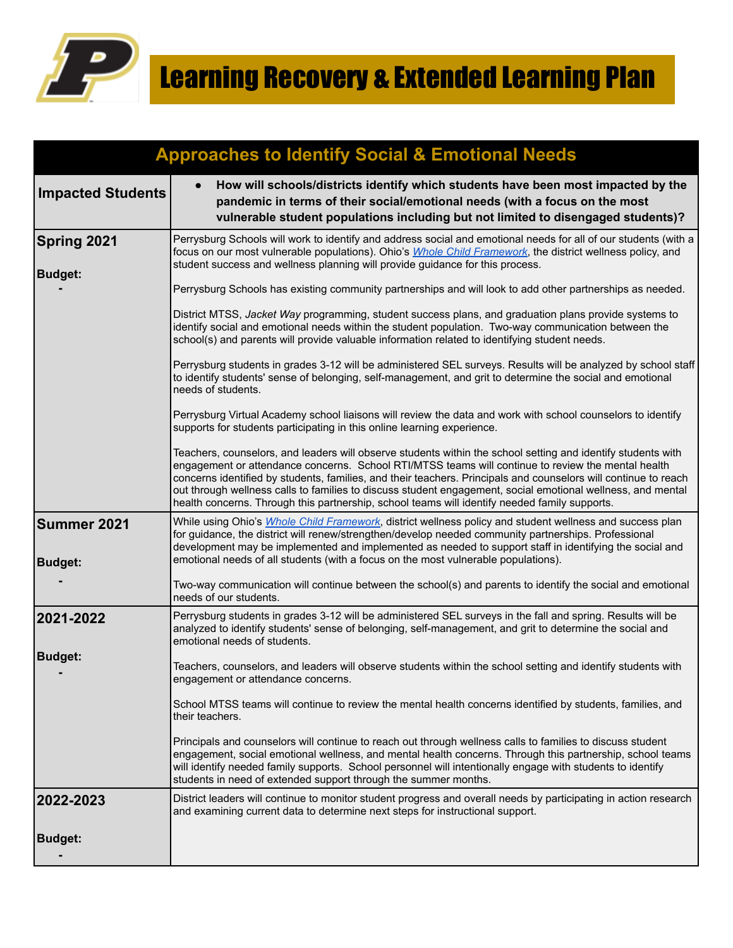

|                                      | <b>Approaches to Identify Social &amp; Emotional Needs</b>                                                                                                                                                                                                                                                                                                                                                                                                                                                                                            |
|--------------------------------------|-------------------------------------------------------------------------------------------------------------------------------------------------------------------------------------------------------------------------------------------------------------------------------------------------------------------------------------------------------------------------------------------------------------------------------------------------------------------------------------------------------------------------------------------------------|
| <b>Impacted Students</b>             | How will schools/districts identify which students have been most impacted by the<br>$\bullet$<br>pandemic in terms of their social/emotional needs (with a focus on the most<br>vulnerable student populations including but not limited to disengaged students)?                                                                                                                                                                                                                                                                                    |
| <b>Spring 2021</b><br><b>Budget:</b> | Perrysburg Schools will work to identify and address social and emotional needs for all of our students (with a<br>focus on our most vulnerable populations). Ohio's <i>Whole Child Framework</i> , the district wellness policy, and<br>student success and wellness planning will provide guidance for this process.                                                                                                                                                                                                                                |
|                                      | Perrysburg Schools has existing community partnerships and will look to add other partnerships as needed.                                                                                                                                                                                                                                                                                                                                                                                                                                             |
|                                      | District MTSS, Jacket Way programming, student success plans, and graduation plans provide systems to<br>identify social and emotional needs within the student population. Two-way communication between the<br>school(s) and parents will provide valuable information related to identifying student needs.                                                                                                                                                                                                                                        |
|                                      | Perrysburg students in grades 3-12 will be administered SEL surveys. Results will be analyzed by school staff<br>to identify students' sense of belonging, self-management, and grit to determine the social and emotional<br>needs of students.                                                                                                                                                                                                                                                                                                      |
|                                      | Perrysburg Virtual Academy school liaisons will review the data and work with school counselors to identify<br>supports for students participating in this online learning experience.                                                                                                                                                                                                                                                                                                                                                                |
|                                      | Teachers, counselors, and leaders will observe students within the school setting and identify students with<br>engagement or attendance concerns. School RTI/MTSS teams will continue to review the mental health<br>concerns identified by students, families, and their teachers. Principals and counselors will continue to reach<br>out through wellness calls to families to discuss student engagement, social emotional wellness, and mental<br>health concerns. Through this partnership, school teams will identify needed family supports. |
| Summer 2021<br><b>Budget:</b>        | While using Ohio's <i>Whole Child Framework</i> , district wellness policy and student wellness and success plan<br>for guidance, the district will renew/strengthen/develop needed community partnerships. Professional<br>development may be implemented and implemented as needed to support staff in identifying the social and<br>emotional needs of all students (with a focus on the most vulnerable populations).                                                                                                                             |
|                                      | Two-way communication will continue between the school(s) and parents to identify the social and emotional<br>needs of our students.                                                                                                                                                                                                                                                                                                                                                                                                                  |
| 2021-2022                            | Perrysburg students in grades 3-12 will be administered SEL surveys in the fall and spring. Results will be<br>analyzed to identify students' sense of belonging, self-management, and grit to determine the social and<br>emotional needs of students.                                                                                                                                                                                                                                                                                               |
| <b>Budget:</b>                       | Teachers, counselors, and leaders will observe students within the school setting and identify students with<br>engagement or attendance concerns.                                                                                                                                                                                                                                                                                                                                                                                                    |
|                                      | School MTSS teams will continue to review the mental health concerns identified by students, families, and<br>their teachers.                                                                                                                                                                                                                                                                                                                                                                                                                         |
|                                      | Principals and counselors will continue to reach out through wellness calls to families to discuss student<br>engagement, social emotional wellness, and mental health concerns. Through this partnership, school teams<br>will identify needed family supports. School personnel will intentionally engage with students to identify<br>students in need of extended support through the summer months.                                                                                                                                              |
| 2022-2023                            | District leaders will continue to monitor student progress and overall needs by participating in action research<br>and examining current data to determine next steps for instructional support.                                                                                                                                                                                                                                                                                                                                                     |
| <b>Budget:</b>                       |                                                                                                                                                                                                                                                                                                                                                                                                                                                                                                                                                       |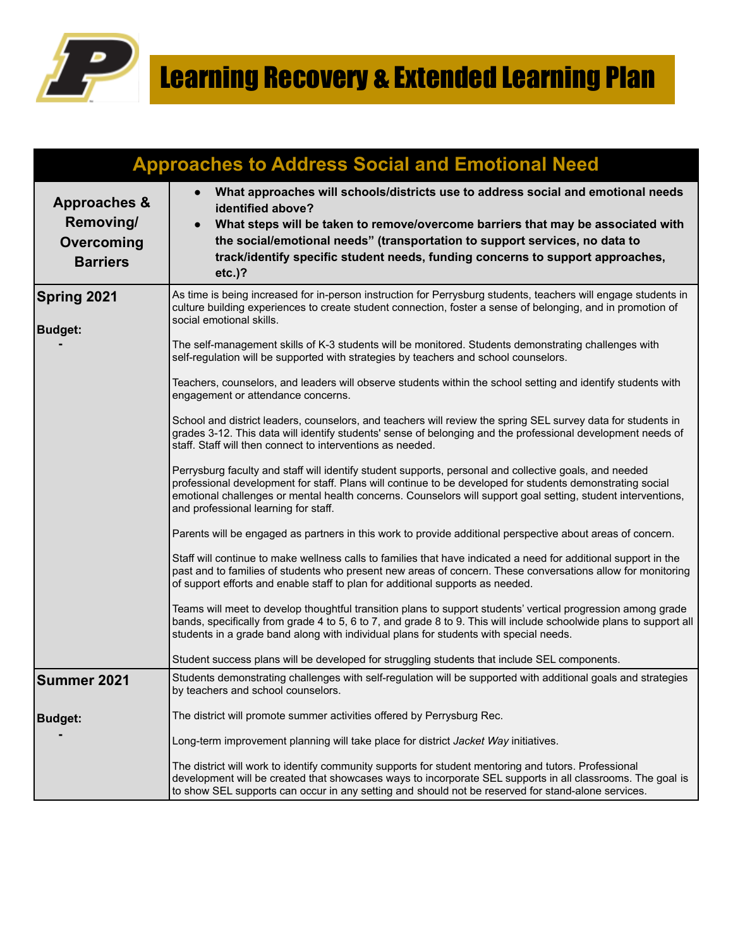

|                                                                       | <b>Approaches to Address Social and Emotional Need</b>                                                                                                                                                                                                                                                                                                                                                                                                                                                                                                                                                                                                                                                                                                                                                                                                                                                                                                                                                                                                                                                                                                                                                                                                                                                                                                                                                                                                                                                                                                                                                                                                                                                                                                                                                                                                                                                                                                                                                                                                       |
|-----------------------------------------------------------------------|--------------------------------------------------------------------------------------------------------------------------------------------------------------------------------------------------------------------------------------------------------------------------------------------------------------------------------------------------------------------------------------------------------------------------------------------------------------------------------------------------------------------------------------------------------------------------------------------------------------------------------------------------------------------------------------------------------------------------------------------------------------------------------------------------------------------------------------------------------------------------------------------------------------------------------------------------------------------------------------------------------------------------------------------------------------------------------------------------------------------------------------------------------------------------------------------------------------------------------------------------------------------------------------------------------------------------------------------------------------------------------------------------------------------------------------------------------------------------------------------------------------------------------------------------------------------------------------------------------------------------------------------------------------------------------------------------------------------------------------------------------------------------------------------------------------------------------------------------------------------------------------------------------------------------------------------------------------------------------------------------------------------------------------------------------------|
| <b>Approaches &amp;</b><br>Removing/<br>Overcoming<br><b>Barriers</b> | What approaches will schools/districts use to address social and emotional needs<br>$\bullet$<br>identified above?<br>What steps will be taken to remove/overcome barriers that may be associated with<br>$\bullet$<br>the social/emotional needs" (transportation to support services, no data to<br>track/identify specific student needs, funding concerns to support approaches,<br>$etc.$ )?                                                                                                                                                                                                                                                                                                                                                                                                                                                                                                                                                                                                                                                                                                                                                                                                                                                                                                                                                                                                                                                                                                                                                                                                                                                                                                                                                                                                                                                                                                                                                                                                                                                            |
| Spring 2021<br><b>Budget:</b>                                         | As time is being increased for in-person instruction for Perrysburg students, teachers will engage students in<br>culture building experiences to create student connection, foster a sense of belonging, and in promotion of<br>social emotional skills.<br>The self-management skills of K-3 students will be monitored. Students demonstrating challenges with<br>self-regulation will be supported with strategies by teachers and school counselors.<br>Teachers, counselors, and leaders will observe students within the school setting and identify students with<br>engagement or attendance concerns.<br>School and district leaders, counselors, and teachers will review the spring SEL survey data for students in<br>grades 3-12. This data will identify students' sense of belonging and the professional development needs of<br>staff. Staff will then connect to interventions as needed.<br>Perrysburg faculty and staff will identify student supports, personal and collective goals, and needed<br>professional development for staff. Plans will continue to be developed for students demonstrating social<br>emotional challenges or mental health concerns. Counselors will support goal setting, student interventions,<br>and professional learning for staff.<br>Parents will be engaged as partners in this work to provide additional perspective about areas of concern.<br>Staff will continue to make wellness calls to families that have indicated a need for additional support in the<br>past and to families of students who present new areas of concern. These conversations allow for monitoring<br>of support efforts and enable staff to plan for additional supports as needed.<br>Teams will meet to develop thoughtful transition plans to support students' vertical progression among grade<br>bands, specifically from grade 4 to 5, 6 to 7, and grade 8 to 9. This will include schoolwide plans to support all<br>students in a grade band along with individual plans for students with special needs. |
|                                                                       | Student success plans will be developed for struggling students that include SEL components.                                                                                                                                                                                                                                                                                                                                                                                                                                                                                                                                                                                                                                                                                                                                                                                                                                                                                                                                                                                                                                                                                                                                                                                                                                                                                                                                                                                                                                                                                                                                                                                                                                                                                                                                                                                                                                                                                                                                                                 |
| <b>Summer 2021</b>                                                    | Students demonstrating challenges with self-regulation will be supported with additional goals and strategies<br>by teachers and school counselors.                                                                                                                                                                                                                                                                                                                                                                                                                                                                                                                                                                                                                                                                                                                                                                                                                                                                                                                                                                                                                                                                                                                                                                                                                                                                                                                                                                                                                                                                                                                                                                                                                                                                                                                                                                                                                                                                                                          |
| <b>Budget:</b>                                                        | The district will promote summer activities offered by Perrysburg Rec.                                                                                                                                                                                                                                                                                                                                                                                                                                                                                                                                                                                                                                                                                                                                                                                                                                                                                                                                                                                                                                                                                                                                                                                                                                                                                                                                                                                                                                                                                                                                                                                                                                                                                                                                                                                                                                                                                                                                                                                       |
|                                                                       | Long-term improvement planning will take place for district Jacket Way initiatives.                                                                                                                                                                                                                                                                                                                                                                                                                                                                                                                                                                                                                                                                                                                                                                                                                                                                                                                                                                                                                                                                                                                                                                                                                                                                                                                                                                                                                                                                                                                                                                                                                                                                                                                                                                                                                                                                                                                                                                          |
|                                                                       | The district will work to identify community supports for student mentoring and tutors. Professional<br>development will be created that showcases ways to incorporate SEL supports in all classrooms. The goal is<br>to show SEL supports can occur in any setting and should not be reserved for stand-alone services.                                                                                                                                                                                                                                                                                                                                                                                                                                                                                                                                                                                                                                                                                                                                                                                                                                                                                                                                                                                                                                                                                                                                                                                                                                                                                                                                                                                                                                                                                                                                                                                                                                                                                                                                     |